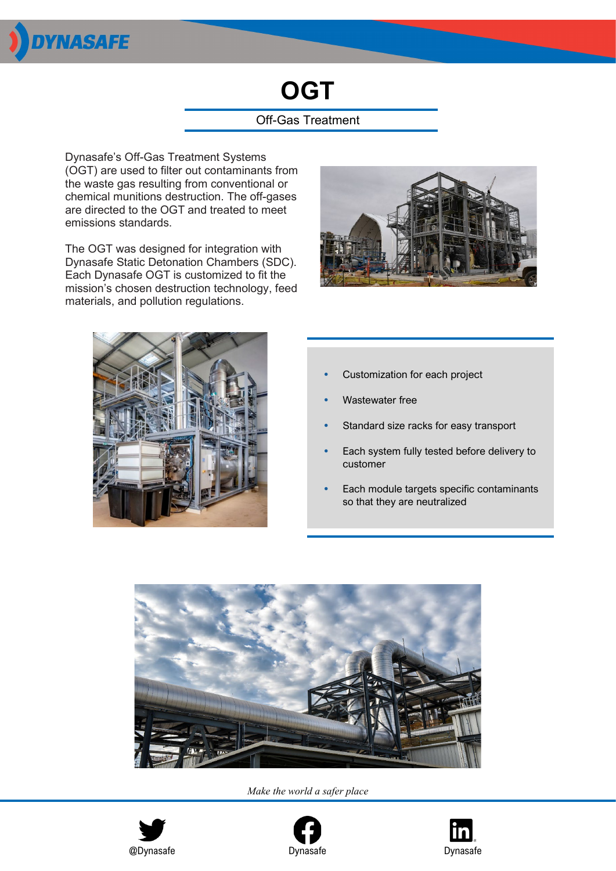

# **OGT**

### Off-Gas Treatment

Dynasafe's Off-Gas Treatment Systems (OGT) are used to filter out contaminants from the waste gas resulting from conventional or chemical munitions destruction. The off-gases are directed to the OGT and treated to meet emissions standards.

The OGT was designed for integration with Dynasafe Static Detonation Chambers (SDC). Each Dynasafe OGT is customized to fit the mission's chosen destruction technology, feed materials, and pollution regulations.





- *•* Customization for each project
- *•* Wastewater free
- *•* Standard size racks for easy transport
- *•* Each system fully tested before delivery to customer
- *•* Each module targets specific contaminants so that they are neutralized



*Make the world a safer place*